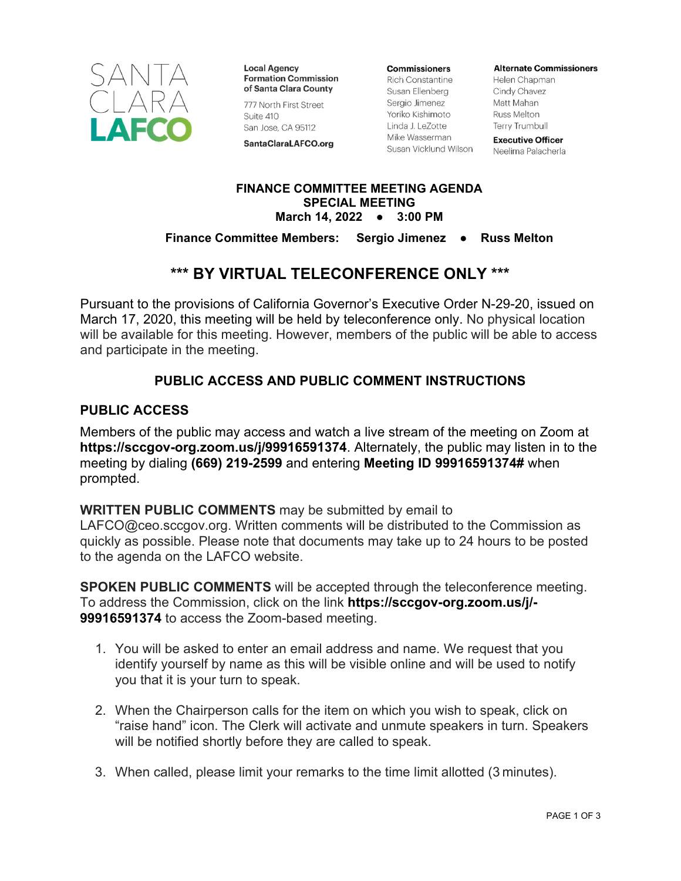

**Local Agency Formation Commission** of Santa Clara County

777 North First Street

San Jose, CA 95112

SantaClaraLAFCO.org

Suite 410

**Commissioners** 

**Rich Constantine** Susan Ellenberg Sergio Jimenez Yoriko Kishimoto Linda J. LeZotte Mike Wasserman Susan Vicklund Wilson **Alternate Commissioners** 

Helen Chapman Cindy Chavez Matt Mahan Russ Melton **Terry Trumbull** 

**Executive Officer** Neelima Palacherla

#### **FINANCE COMMITTEE MEETING AGENDA SPECIAL MEETING March 14, 2022 ● 3:00 PM**

### **Finance Committee Members: Sergio Jimenez ● Russ Melton**

### **\*\*\* BY VIRTUAL TELECONFERENCE ONLY \*\*\***

Pursuant to the provisions of California Governor's Executive Order N-29-20, issued on March 17, 2020, this meeting will be held by teleconference only. No physical location will be available for this meeting. However, members of the public will be able to access and participate in the meeting.

### **PUBLIC ACCESS AND PUBLIC COMMENT INSTRUCTIONS**

### **PUBLIC ACCESS**

Members of the public may access and watch a live stream of the meeting on Zoom at **https://sccgov-org.zoom.us/j/99916591374**. Alternately, the public may listen in to the meeting by dialing **(669) 219-2599** and entering **Meeting ID 99916591374#** when prompted.

**WRITTEN PUBLIC COMMENTS** may be submitted by email to

LAFCO@ceo.sccgov.org. Written comments will be distributed to the Commission as quickly as possible. Please note that documents may take up to 24 hours to be posted to the agenda on the LAFCO website.

**SPOKEN PUBLIC COMMENTS** will be accepted through the teleconference meeting. To address the Commission, click on the link **https://sccgov-org.zoom.us/j/- 99916591374** to access the Zoom-based meeting.

- 1. You will be asked to enter an email address and name. We request that you identify yourself by name as this will be visible online and will be used to notify you that it is your turn to speak.
- 2. When the Chairperson calls for the item on which you wish to speak, click on "raise hand" icon. The Clerk will activate and unmute speakers in turn. Speakers will be notified shortly before they are called to speak.
- 3. When called, please limit your remarks to the time limit allotted (3 minutes).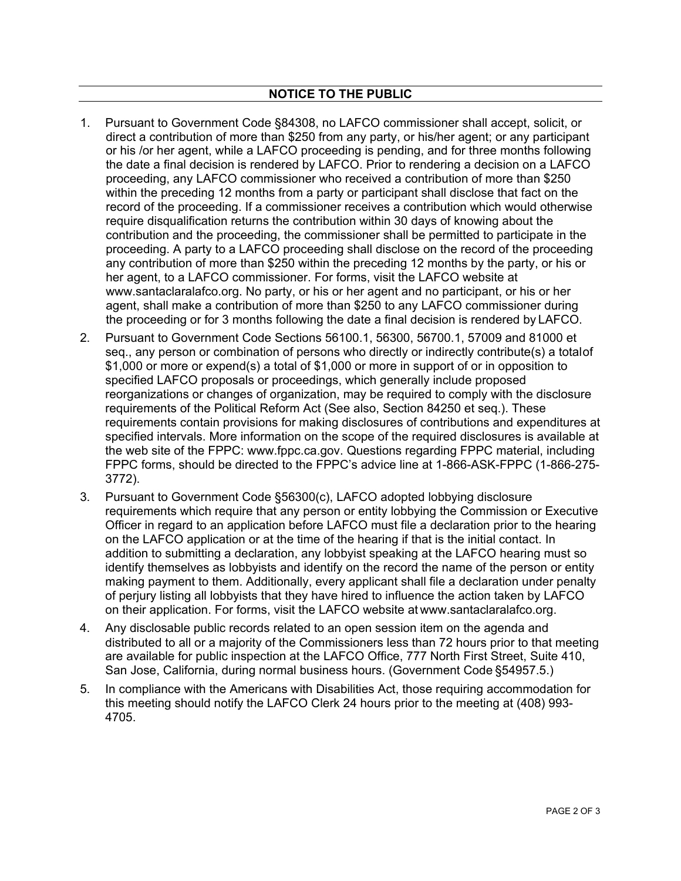- 1. Pursuant to Government Code §84308, no LAFCO commissioner shall accept, solicit, or direct a contribution of more than \$250 from any party, or his/her agent; or any participant or his /or her agent, while a LAFCO proceeding is pending, and for three months following the date a final decision is rendered by LAFCO. Prior to rendering a decision on a LAFCO proceeding, any LAFCO commissioner who received a contribution of more than \$250 within the preceding 12 months from a party or participant shall disclose that fact on the record of the proceeding. If a commissioner receives a contribution which would otherwise require disqualification returns the contribution within 30 days of knowing about the contribution and the proceeding, the commissioner shall be permitted to participate in the proceeding. A party to a LAFCO proceeding shall disclose on the record of the proceeding any contribution of more than \$250 within the preceding 12 months by the party, or his or her agent, to a LAFCO commissioner. For forms, visit the LAFCO website at www.santaclaralafco.org. No party, or his or her agent and no participant, or his or her agent, shall make a contribution of more than \$250 to any LAFCO commissioner during the proceeding or for 3 months following the date a final decision is rendered by LAFCO.
- 2. Pursuant to Government Code Sections 56100.1, 56300, 56700.1, 57009 and 81000 et seq., any person or combination of persons who directly or indirectly contribute(s) a total of \$1,000 or more or expend(s) a total of \$1,000 or more in support of or in opposition to specified LAFCO proposals or proceedings, which generally include proposed reorganizations or changes of organization, may be required to comply with the disclosure requirements of the Political Reform Act (See also, Section 84250 et seq.). These requirements contain provisions for making disclosures of contributions and expenditures at specified intervals. More information on the scope of the required disclosures is available at the web site of the FPPC: www.fppc.ca.gov. Questions regarding FPPC material, including FPPC forms, should be directed to the FPPC's advice line at 1-866-ASK-FPPC (1-866-275- 3772).
- 3. Pursuant to Government Code §56300(c), LAFCO adopted lobbying disclosure requirements which require that any person or entity lobbying the Commission or Executive Officer in regard to an application before LAFCO must file a declaration prior to the hearing on the LAFCO application or at the time of the hearing if that is the initial contact. In addition to submitting a declaration, any lobbyist speaking at the LAFCO hearing must so identify themselves as lobbyists and identify on the record the name of the person or entity making payment to them. Additionally, every applicant shall file a declaration under penalty of perjury listing all lobbyists that they have hired to influence the action taken by LAFCO on their application. For forms, visit the LAFCO website at www.santaclaralafco.org.
- 4. Any disclosable public records related to an open session item on the agenda and distributed to all or a majority of the Commissioners less than 72 hours prior to that meeting are available for public inspection at the LAFCO Office, 777 North First Street, Suite 410, San Jose, California, during normal business hours. (Government Code §54957.5.)
- 5. In compliance with the Americans with Disabilities Act, those requiring accommodation for this meeting should notify the LAFCO Clerk 24 hours prior to the meeting at (408) 993- 4705.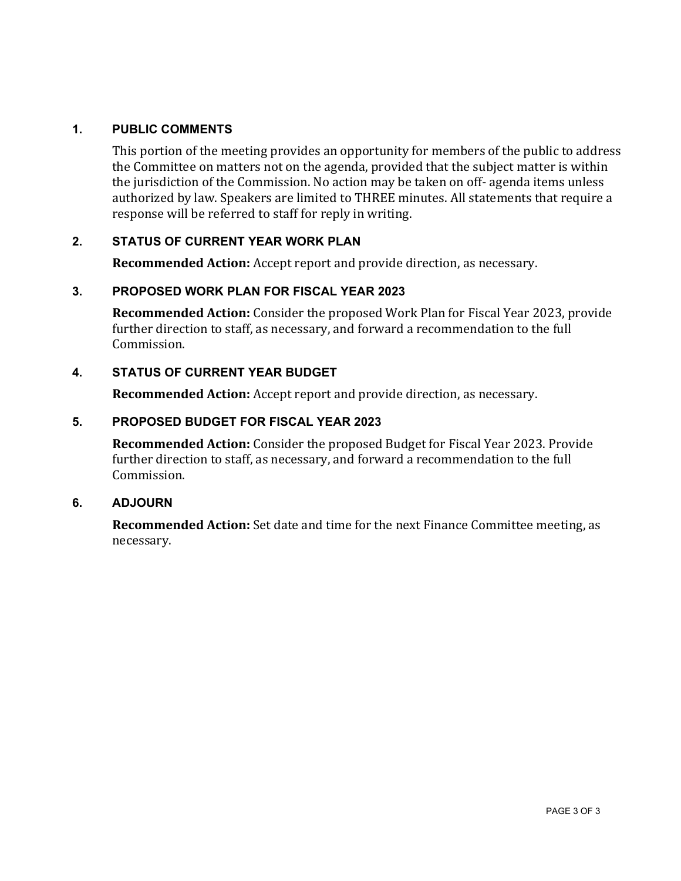### **1. PUBLIC COMMENTS**

This portion of the meeting provides an opportunity for members of the public to address the Committee on matters not on the agenda, provided that the subject matter is within the jurisdiction of the Commission. No action may be taken on off- agenda items unless authorized by law. Speakers are limited to THREE minutes. All statements that require a response will be referred to staff for reply in writing.

### **2. STATUS OF CURRENT YEAR WORK PLAN**

**Recommended Action:** Accept report and provide direction, as necessary.

### **3. PROPOSED WORK PLAN FOR FISCAL YEAR 2023**

**Recommended Action:** Consider the proposed Work Plan for Fiscal Year 2023, provide further direction to staff, as necessary, and forward a recommendation to the full Commission.

### **4. STATUS OF CURRENT YEAR BUDGET**

**Recommended Action:** Accept report and provide direction, as necessary.

### **5. PROPOSED BUDGET FOR FISCAL YEAR 2023**

**Recommended Action:** Consider the proposed Budget for Fiscal Year 2023. Provide further direction to staff, as necessary, and forward a recommendation to the full Commission.

### **6. ADJOURN**

**Recommended Action:** Set date and time for the next Finance Committee meeting, as necessary.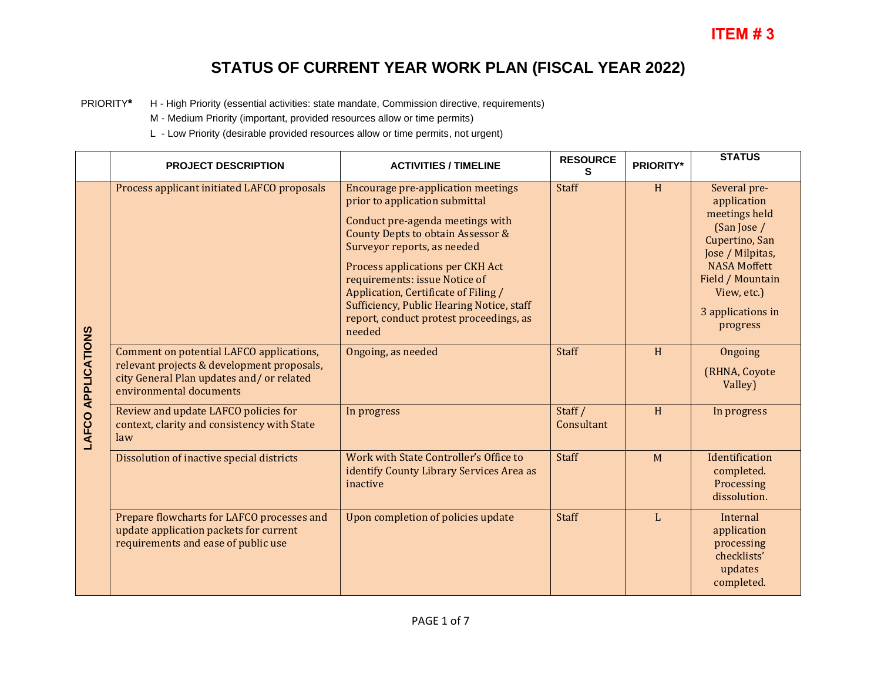PRIORITY**\*** H - High Priority (essential activities: state mandate, Commission directive, requirements)

M - Medium Priority (important, provided resources allow or time permits)

L - Low Priority (desirable provided resources allow or time permits, not urgent)

|                           | <b>PROJECT DESCRIPTION</b>                                                                                                                                    | <b>ACTIVITIES / TIMELINE</b>                                                                                                                                                                                                                                                                                                                                                                       | <b>RESOURCE</b><br>s  | <b>PRIORITY*</b> | <b>STATUS</b>                                                                                                                                                                                |
|---------------------------|---------------------------------------------------------------------------------------------------------------------------------------------------------------|----------------------------------------------------------------------------------------------------------------------------------------------------------------------------------------------------------------------------------------------------------------------------------------------------------------------------------------------------------------------------------------------------|-----------------------|------------------|----------------------------------------------------------------------------------------------------------------------------------------------------------------------------------------------|
| <b>LAFCO APPLICATIONS</b> | Process applicant initiated LAFCO proposals                                                                                                                   | <b>Encourage pre-application meetings</b><br>prior to application submittal<br>Conduct pre-agenda meetings with<br>County Depts to obtain Assessor &<br>Surveyor reports, as needed<br>Process applications per CKH Act<br>requirements: issue Notice of<br>Application, Certificate of Filing /<br>Sufficiency, Public Hearing Notice, staff<br>report, conduct protest proceedings, as<br>needed | <b>Staff</b>          | H                | Several pre-<br>application<br>meetings held<br>(San Jose /<br>Cupertino, San<br>Jose / Milpitas,<br><b>NASA Moffett</b><br>Field / Mountain<br>View, etc.)<br>3 applications in<br>progress |
|                           | Comment on potential LAFCO applications,<br>relevant projects & development proposals,<br>city General Plan updates and/or related<br>environmental documents | Ongoing, as needed                                                                                                                                                                                                                                                                                                                                                                                 | Staff                 | H                | Ongoing<br>(RHNA, Coyote<br>Valley)                                                                                                                                                          |
|                           | Review and update LAFCO policies for<br>context, clarity and consistency with State<br>law                                                                    | In progress                                                                                                                                                                                                                                                                                                                                                                                        | Staff /<br>Consultant | H                | In progress                                                                                                                                                                                  |
|                           | Dissolution of inactive special districts                                                                                                                     | Work with State Controller's Office to<br>identify County Library Services Area as<br>inactive                                                                                                                                                                                                                                                                                                     | Staff                 | M                | Identification<br>completed.<br>Processing<br>dissolution.                                                                                                                                   |
|                           | Prepare flowcharts for LAFCO processes and<br>update application packets for current<br>requirements and ease of public use                                   | Upon completion of policies update                                                                                                                                                                                                                                                                                                                                                                 | <b>Staff</b>          | L                | Internal<br>application<br>processing<br>checklists'<br>updates<br>completed.                                                                                                                |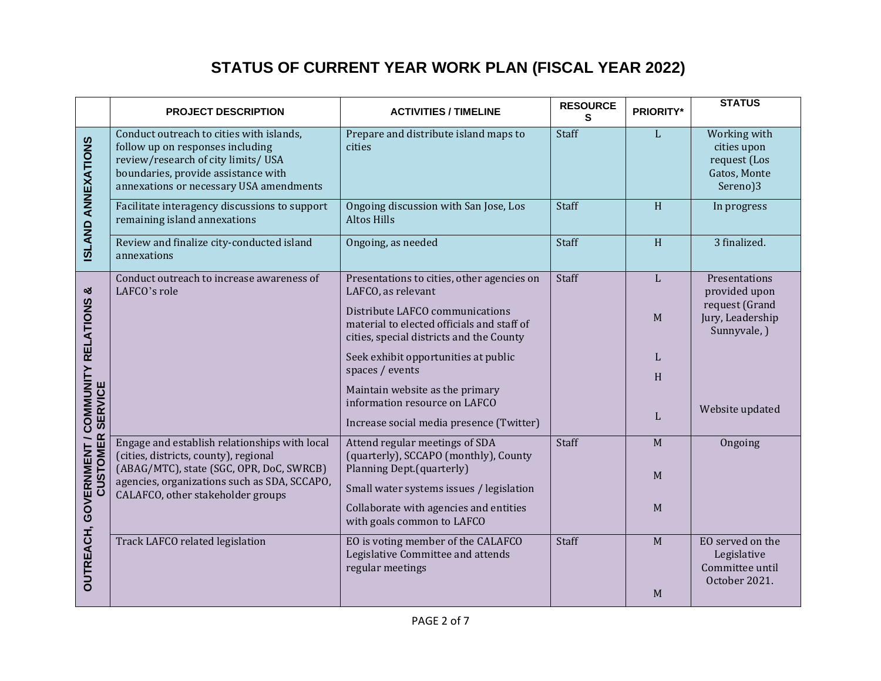|                                                                              | <b>PROJECT DESCRIPTION</b>                                                                                                                                                                           | <b>ACTIVITIES / TIMELINE</b>                                                                                                                      | <b>RESOURCE</b><br>S | <b>PRIORITY*</b> | <b>STATUS</b>                                                                        |
|------------------------------------------------------------------------------|------------------------------------------------------------------------------------------------------------------------------------------------------------------------------------------------------|---------------------------------------------------------------------------------------------------------------------------------------------------|----------------------|------------------|--------------------------------------------------------------------------------------|
| <b>ISLAND ANNEXATIONS</b>                                                    | Conduct outreach to cities with islands,<br>follow up on responses including<br>review/research of city limits/USA<br>boundaries, provide assistance with<br>annexations or necessary USA amendments | Prepare and distribute island maps to<br>cities                                                                                                   | Staff                | L                | Working with<br>cities upon<br>request (Los<br>Gatos, Monte<br>Sereno)3              |
|                                                                              | Facilitate interagency discussions to support<br>remaining island annexations                                                                                                                        | Ongoing discussion with San Jose, Los<br><b>Altos Hills</b>                                                                                       | Staff                | H                | In progress                                                                          |
|                                                                              | Review and finalize city-conducted island<br>annexations                                                                                                                                             | Ongoing, as needed                                                                                                                                | Staff                | H                | 3 finalized.                                                                         |
| <b>OUTREACH, GOVERNMENT / COMMUNITY RELATIONS &amp;<br/>CUSTOMER SERVICE</b> | Conduct outreach to increase awareness of<br>LAFCO's role                                                                                                                                            | Presentations to cities, other agencies on<br>LAFCO, as relevant<br>Distribute LAFCO communications<br>material to elected officials and staff of | Staff                | L<br>$\mathbf M$ | Presentations<br>provided upon<br>request (Grand<br>Jury, Leadership<br>Sunnyvale, ) |
|                                                                              |                                                                                                                                                                                                      | cities, special districts and the County<br>Seek exhibit opportunities at public<br>spaces / events                                               |                      | L                |                                                                                      |
|                                                                              |                                                                                                                                                                                                      | Maintain website as the primary<br>information resource on LAFCO                                                                                  |                      | H<br>L           | Website updated                                                                      |
|                                                                              |                                                                                                                                                                                                      | Increase social media presence (Twitter)                                                                                                          |                      |                  |                                                                                      |
|                                                                              | Engage and establish relationships with local<br>(cities, districts, county), regional<br>(ABAG/MTC), state (SGC, OPR, DoC, SWRCB)                                                                   | Attend regular meetings of SDA<br>(quarterly), SCCAPO (monthly), County<br>Planning Dept.(quarterly)                                              | Staff                | M<br>M           | Ongoing                                                                              |
|                                                                              | agencies, organizations such as SDA, SCCAPO,<br>CALAFCO, other stakeholder groups                                                                                                                    | Small water systems issues / legislation                                                                                                          |                      |                  |                                                                                      |
|                                                                              |                                                                                                                                                                                                      | Collaborate with agencies and entities<br>with goals common to LAFCO                                                                              |                      | M                |                                                                                      |
|                                                                              | Track LAFCO related legislation                                                                                                                                                                      | EO is voting member of the CALAFCO<br>Legislative Committee and attends<br>regular meetings                                                       | Staff                | M                | EO served on the<br>Legislative<br>Committee until<br>October 2021.                  |
|                                                                              |                                                                                                                                                                                                      |                                                                                                                                                   |                      | M                |                                                                                      |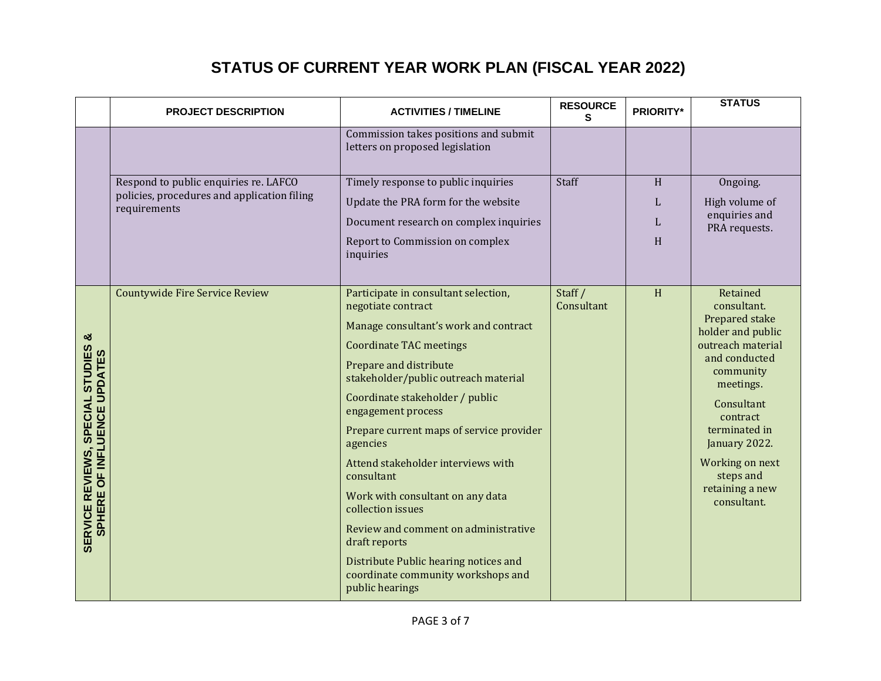|                                                                                                 | <b>PROJECT DESCRIPTION</b>                                                                           | <b>ACTIVITIES / TIMELINE</b>                                                                                                                                                                                                                                                                                                                                                                                                                                                                                                                                                                     | <b>RESOURCE</b><br>S. | <b>PRIORITY*</b> | <b>STATUS</b>                                                                                                                                                                                                                                                |
|-------------------------------------------------------------------------------------------------|------------------------------------------------------------------------------------------------------|--------------------------------------------------------------------------------------------------------------------------------------------------------------------------------------------------------------------------------------------------------------------------------------------------------------------------------------------------------------------------------------------------------------------------------------------------------------------------------------------------------------------------------------------------------------------------------------------------|-----------------------|------------------|--------------------------------------------------------------------------------------------------------------------------------------------------------------------------------------------------------------------------------------------------------------|
|                                                                                                 |                                                                                                      | Commission takes positions and submit<br>letters on proposed legislation                                                                                                                                                                                                                                                                                                                                                                                                                                                                                                                         |                       |                  |                                                                                                                                                                                                                                                              |
|                                                                                                 | Respond to public enquiries re. LAFCO<br>policies, procedures and application filing<br>requirements | Timely response to public inquiries<br>Update the PRA form for the website<br>Document research on complex inquiries<br>Report to Commission on complex<br>inquiries                                                                                                                                                                                                                                                                                                                                                                                                                             | Staff                 | H<br>L<br>L<br>H | Ongoing.<br>High volume of<br>enquiries and<br>PRA requests.                                                                                                                                                                                                 |
| ఱ<br>SPECIAL STUDIES<br><b>SERVICE REVIEWS, SPECIAL STUDIES<br/>SPHERE OF INFLUENCE UPDATES</b> | <b>Countywide Fire Service Review</b>                                                                | Participate in consultant selection,<br>negotiate contract<br>Manage consultant's work and contract<br><b>Coordinate TAC meetings</b><br>Prepare and distribute<br>stakeholder/public outreach material<br>Coordinate stakeholder / public<br>engagement process<br>Prepare current maps of service provider<br>agencies<br>Attend stakeholder interviews with<br>consultant<br>Work with consultant on any data<br>collection issues<br>Review and comment on administrative<br>draft reports<br>Distribute Public hearing notices and<br>coordinate community workshops and<br>public hearings | Staff /<br>Consultant | H                | Retained<br>consultant.<br>Prepared stake<br>holder and public<br>outreach material<br>and conducted<br>community<br>meetings.<br>Consultant<br>contract<br>terminated in<br>January 2022.<br>Working on next<br>steps and<br>retaining a new<br>consultant. |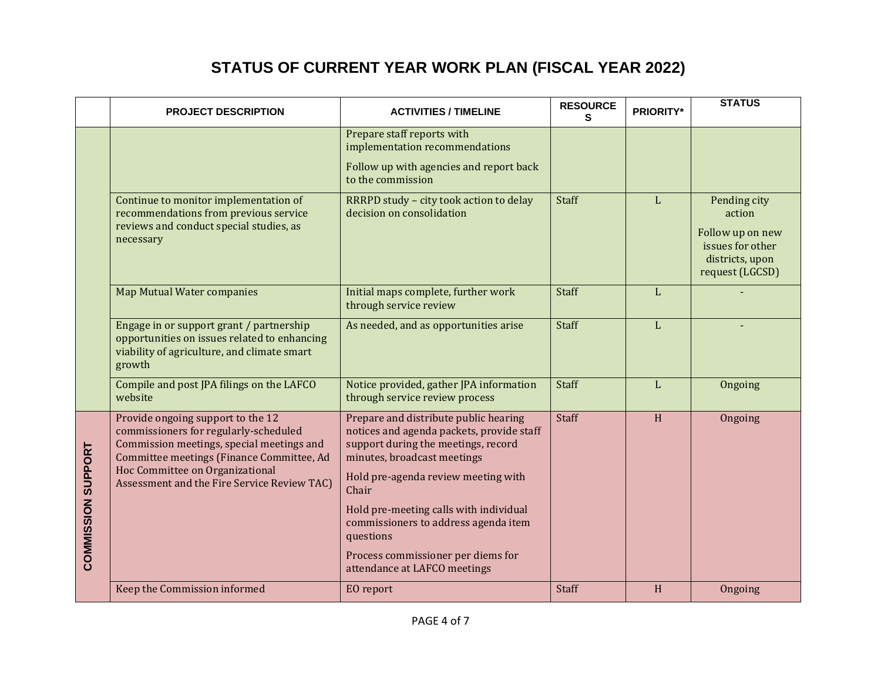|                    | <b>PROJECT DESCRIPTION</b>                                                                                                                                                                                                                             | <b>ACTIVITIES / TIMELINE</b>                                                                                                                                                                                                                                                                                                                                                  | <b>RESOURCE</b><br>S | <b>PRIORITY*</b> | <b>STATUS</b>                                                                                        |
|--------------------|--------------------------------------------------------------------------------------------------------------------------------------------------------------------------------------------------------------------------------------------------------|-------------------------------------------------------------------------------------------------------------------------------------------------------------------------------------------------------------------------------------------------------------------------------------------------------------------------------------------------------------------------------|----------------------|------------------|------------------------------------------------------------------------------------------------------|
|                    |                                                                                                                                                                                                                                                        | Prepare staff reports with<br>implementation recommendations<br>Follow up with agencies and report back<br>to the commission                                                                                                                                                                                                                                                  |                      |                  |                                                                                                      |
|                    | Continue to monitor implementation of<br>recommendations from previous service<br>reviews and conduct special studies, as<br>necessary                                                                                                                 | RRRPD study - city took action to delay<br>decision on consolidation                                                                                                                                                                                                                                                                                                          | Staff                | L                | Pending city<br>action<br>Follow up on new<br>issues for other<br>districts, upon<br>request (LGCSD) |
|                    | <b>Map Mutual Water companies</b>                                                                                                                                                                                                                      | Initial maps complete, further work<br>through service review                                                                                                                                                                                                                                                                                                                 | Staff                | L                |                                                                                                      |
|                    | Engage in or support grant / partnership<br>opportunities on issues related to enhancing<br>viability of agriculture, and climate smart<br>growth                                                                                                      | As needed, and as opportunities arise                                                                                                                                                                                                                                                                                                                                         | Staff                | L                |                                                                                                      |
|                    | Compile and post JPA filings on the LAFCO<br>website                                                                                                                                                                                                   | Notice provided, gather JPA information<br>through service review process                                                                                                                                                                                                                                                                                                     | <b>Staff</b>         | L                | Ongoing                                                                                              |
| COMMISSION SUPPORT | Provide ongoing support to the 12<br>commissioners for regularly-scheduled<br>Commission meetings, special meetings and<br>Committee meetings (Finance Committee, Ad<br>Hoc Committee on Organizational<br>Assessment and the Fire Service Review TAC) | Prepare and distribute public hearing<br>notices and agenda packets, provide staff<br>support during the meetings, record<br>minutes, broadcast meetings<br>Hold pre-agenda review meeting with<br>Chair<br>Hold pre-meeting calls with individual<br>commissioners to address agenda item<br>questions<br>Process commissioner per diems for<br>attendance at LAFCO meetings | <b>Staff</b>         | H                | Ongoing                                                                                              |
|                    | Keep the Commission informed                                                                                                                                                                                                                           | EO report                                                                                                                                                                                                                                                                                                                                                                     | Staff                | H                | Ongoing                                                                                              |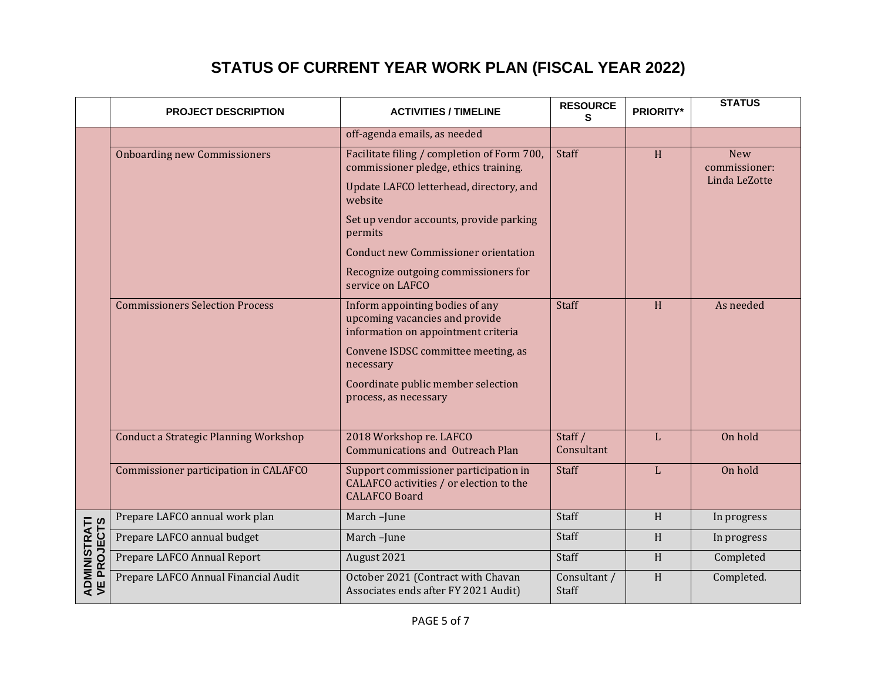|                                     | <b>PROJECT DESCRIPTION</b>                   | <b>ACTIVITIES / TIMELINE</b>                                                                             | <b>RESOURCE</b><br>s  | <b>PRIORITY*</b>          | <b>STATUS</b>               |
|-------------------------------------|----------------------------------------------|----------------------------------------------------------------------------------------------------------|-----------------------|---------------------------|-----------------------------|
|                                     |                                              | off-agenda emails, as needed                                                                             |                       |                           |                             |
|                                     | <b>Onboarding new Commissioners</b>          | Facilitate filing / completion of Form 700,<br>commissioner pledge, ethics training.                     | <b>Staff</b>          | H                         | <b>New</b><br>commissioner: |
|                                     |                                              | Update LAFCO letterhead, directory, and<br>website                                                       |                       |                           | Linda LeZotte               |
|                                     |                                              | Set up vendor accounts, provide parking<br>permits                                                       |                       |                           |                             |
|                                     |                                              | <b>Conduct new Commissioner orientation</b>                                                              |                       |                           |                             |
|                                     |                                              | Recognize outgoing commissioners for<br>service on LAFCO                                                 |                       |                           |                             |
|                                     | <b>Commissioners Selection Process</b>       | Inform appointing bodies of any<br>upcoming vacancies and provide<br>information on appointment criteria | <b>Staff</b>          | H                         | As needed                   |
|                                     |                                              | Convene ISDSC committee meeting, as<br>necessary                                                         |                       |                           |                             |
|                                     |                                              | Coordinate public member selection<br>process, as necessary                                              |                       |                           |                             |
|                                     | <b>Conduct a Strategic Planning Workshop</b> | 2018 Workshop re. LAFCO<br><b>Communications and Outreach Plan</b>                                       | Staff /<br>Consultant | L                         | On hold                     |
|                                     | Commissioner participation in CALAFCO        | Support commissioner participation in<br>CALAFCO activities / or election to the<br><b>CALAFCO Board</b> | <b>Staff</b>          | L                         | On hold                     |
|                                     | Prepare LAFCO annual work plan               | March-June                                                                                               | Staff                 | H                         | In progress                 |
|                                     | Prepare LAFCO annual budget                  | March-June                                                                                               | Staff                 | H                         | In progress                 |
|                                     | Prepare LAFCO Annual Report                  | August 2021                                                                                              | Staff                 | H                         | Completed                   |
| <b>ADMINISTRATI<br/>VE PROJECTS</b> | Prepare LAFCO Annual Financial Audit         | October 2021 (Contract with Chavan<br>Associates ends after FY 2021 Audit)                               | Consultant /<br>Staff | $\boldsymbol{\mathrm{H}}$ | Completed.                  |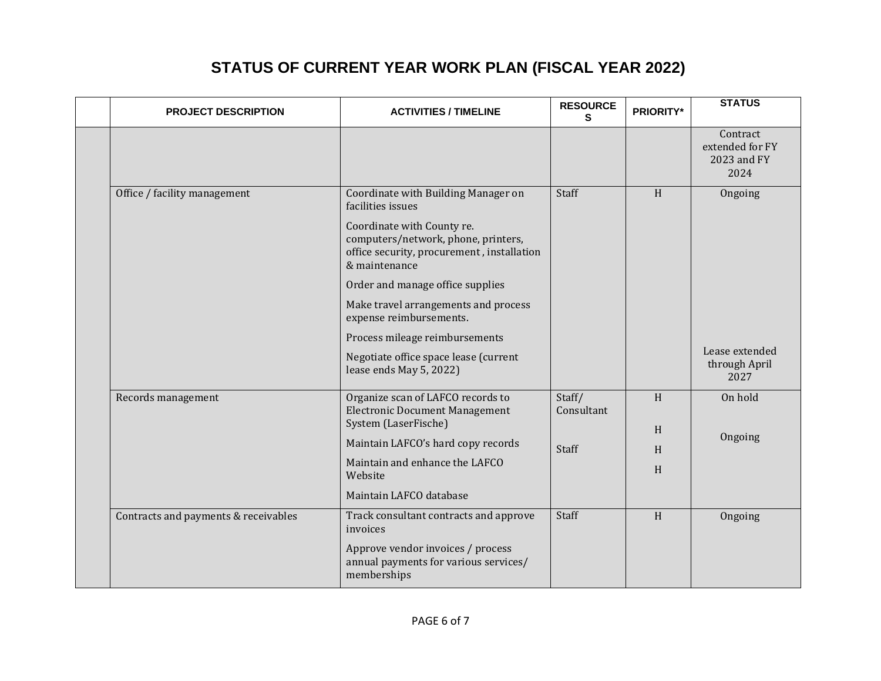| <b>PROJECT DESCRIPTION</b>           | <b>ACTIVITIES / TIMELINE</b>                                                                                                     | <b>RESOURCE</b><br>S. | <b>PRIORITY*</b> | <b>STATUS</b>                                      |
|--------------------------------------|----------------------------------------------------------------------------------------------------------------------------------|-----------------------|------------------|----------------------------------------------------|
|                                      |                                                                                                                                  |                       |                  | Contract<br>extended for FY<br>2023 and FY<br>2024 |
| Office / facility management         | Coordinate with Building Manager on<br>facilities issues                                                                         | Staff                 | H                | Ongoing                                            |
|                                      | Coordinate with County re.<br>computers/network, phone, printers,<br>office security, procurement, installation<br>& maintenance |                       |                  |                                                    |
|                                      | Order and manage office supplies                                                                                                 |                       |                  |                                                    |
|                                      | Make travel arrangements and process<br>expense reimbursements.                                                                  |                       |                  |                                                    |
|                                      | Process mileage reimbursements                                                                                                   |                       |                  |                                                    |
|                                      | Negotiate office space lease (current<br>lease ends May 5, 2022)                                                                 |                       |                  | Lease extended<br>through April<br>2027            |
| Records management                   | Organize scan of LAFCO records to<br><b>Electronic Document Management</b><br>System (LaserFische)                               | Staff/<br>Consultant  | H                | On hold                                            |
|                                      | Maintain LAFCO's hard copy records                                                                                               |                       | H                | Ongoing                                            |
|                                      | Maintain and enhance the LAFCO<br>Website                                                                                        | Staff                 | H<br>H           |                                                    |
|                                      | Maintain LAFCO database                                                                                                          |                       |                  |                                                    |
| Contracts and payments & receivables | Track consultant contracts and approve<br>invoices                                                                               | Staff                 | H                | Ongoing                                            |
|                                      | Approve vendor invoices / process<br>annual payments for various services/<br>memberships                                        |                       |                  |                                                    |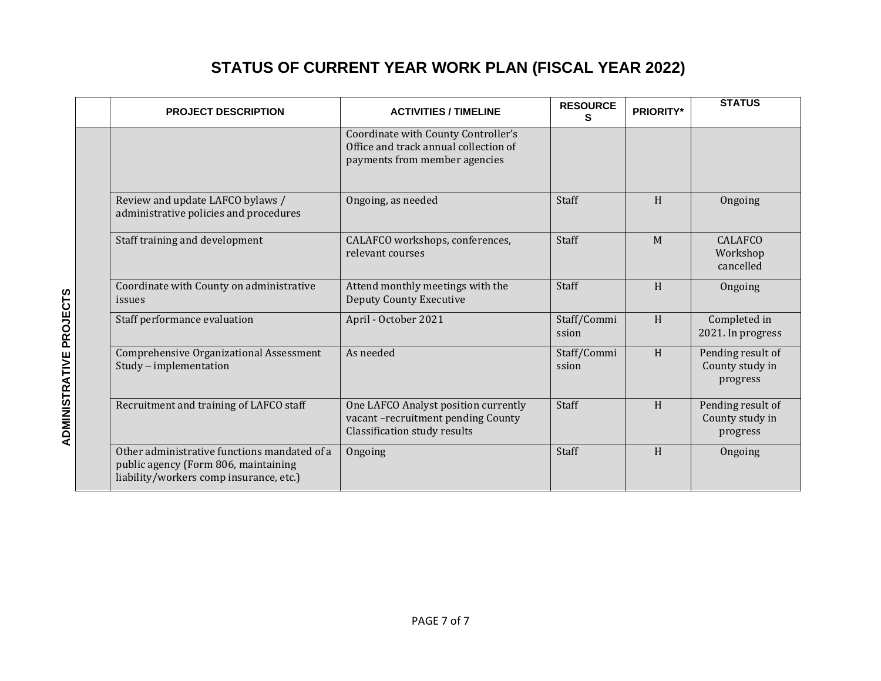| <b>PROJECT DESCRIPTION</b>                                                                                                      | <b>ACTIVITIES / TIMELINE</b>                                                                                  | <b>RESOURCE</b>      | <b>PRIORITY*</b> | <b>STATUS</b>                                    |
|---------------------------------------------------------------------------------------------------------------------------------|---------------------------------------------------------------------------------------------------------------|----------------------|------------------|--------------------------------------------------|
|                                                                                                                                 | Coordinate with County Controller's<br>Office and track annual collection of<br>payments from member agencies |                      |                  |                                                  |
| Review and update LAFCO bylaws /<br>administrative policies and procedures                                                      | Ongoing, as needed                                                                                            | Staff                | H                | Ongoing                                          |
| Staff training and development                                                                                                  | CALAFCO workshops, conferences,<br>relevant courses                                                           | Staff                | M                | <b>CALAFCO</b><br>Workshop<br>cancelled          |
| Coordinate with County on administrative<br>issues                                                                              | Attend monthly meetings with the<br><b>Deputy County Executive</b>                                            | Staff                | H                | Ongoing                                          |
| Staff performance evaluation                                                                                                    | April - October 2021                                                                                          | Staff/Commi<br>ssion | H                | Completed in<br>2021. In progress                |
| Comprehensive Organizational Assessment<br>$Study - implementation$                                                             | As needed                                                                                                     | Staff/Commi<br>ssion | H                | Pending result of<br>County study in<br>progress |
| Recruitment and training of LAFCO staff                                                                                         | One LAFCO Analyst position currently<br>vacant-recruitment pending County<br>Classification study results     | Staff                | H                | Pending result of<br>County study in<br>progress |
| Other administrative functions mandated of a<br>public agency (Form 806, maintaining<br>liability/workers comp insurance, etc.) | Ongoing                                                                                                       | Staff                | H                | Ongoing                                          |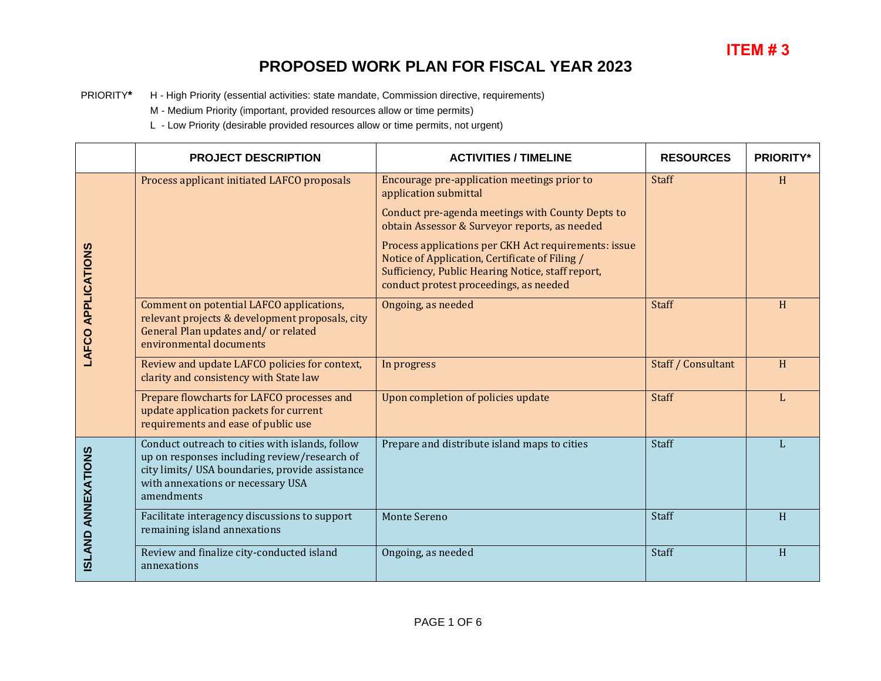PRIORITY**\*** H - High Priority (essential activities: state mandate, Commission directive, requirements)

M - Medium Priority (important, provided resources allow or time permits)

L - Low Priority (desirable provided resources allow or time permits, not urgent)

|                           | <b>PROJECT DESCRIPTION</b>                                                                                                                                                                            | <b>ACTIVITIES / TIMELINE</b>                                                                                                                                                                          | <b>RESOURCES</b>   | <b>PRIORITY*</b> |
|---------------------------|-------------------------------------------------------------------------------------------------------------------------------------------------------------------------------------------------------|-------------------------------------------------------------------------------------------------------------------------------------------------------------------------------------------------------|--------------------|------------------|
|                           | Process applicant initiated LAFCO proposals                                                                                                                                                           | Encourage pre-application meetings prior to<br>application submittal                                                                                                                                  | <b>Staff</b>       | H                |
|                           |                                                                                                                                                                                                       | Conduct pre-agenda meetings with County Depts to<br>obtain Assessor & Surveyor reports, as needed                                                                                                     |                    |                  |
|                           |                                                                                                                                                                                                       | Process applications per CKH Act requirements: issue<br>Notice of Application, Certificate of Filing /<br>Sufficiency, Public Hearing Notice, staff report,<br>conduct protest proceedings, as needed |                    |                  |
| <b>LAFCO APPLICATIONS</b> | Comment on potential LAFCO applications,<br>relevant projects & development proposals, city<br>General Plan updates and/or related<br>environmental documents                                         | Ongoing, as needed                                                                                                                                                                                    | <b>Staff</b>       | H                |
|                           | Review and update LAFCO policies for context,<br>clarity and consistency with State law                                                                                                               | In progress                                                                                                                                                                                           | Staff / Consultant | H                |
|                           | Prepare flowcharts for LAFCO processes and<br>update application packets for current<br>requirements and ease of public use                                                                           | Upon completion of policies update                                                                                                                                                                    | <b>Staff</b>       |                  |
| <b>ISLAND ANNEXATIONS</b> | Conduct outreach to cities with islands, follow<br>up on responses including review/research of<br>city limits/ USA boundaries, provide assistance<br>with annexations or necessary USA<br>amendments | Prepare and distribute island maps to cities                                                                                                                                                          | Staff              | L                |
|                           | Facilitate interagency discussions to support<br>remaining island annexations                                                                                                                         | <b>Monte Sereno</b>                                                                                                                                                                                   | Staff              | H                |
|                           | Review and finalize city-conducted island<br>annexations                                                                                                                                              | Ongoing, as needed                                                                                                                                                                                    | Staff              | H                |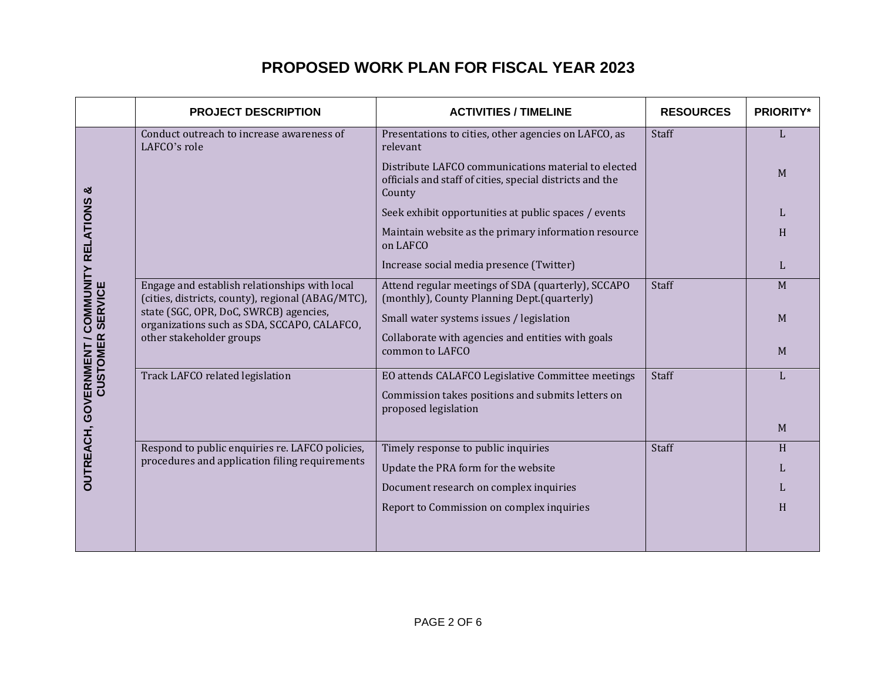|                                                                | <b>PROJECT DESCRIPTION</b>                                                                                        | <b>ACTIVITIES / TIMELINE</b>                                                                                              | <b>RESOURCES</b> | <b>PRIORITY*</b> |
|----------------------------------------------------------------|-------------------------------------------------------------------------------------------------------------------|---------------------------------------------------------------------------------------------------------------------------|------------------|------------------|
|                                                                | Conduct outreach to increase awareness of<br>LAFCO's role                                                         | Presentations to cities, other agencies on LAFCO, as<br>relevant                                                          | <b>Staff</b>     |                  |
| ×                                                              |                                                                                                                   | Distribute LAFCO communications material to elected<br>officials and staff of cities, special districts and the<br>County |                  | M                |
|                                                                |                                                                                                                   | Seek exhibit opportunities at public spaces / events                                                                      |                  | L                |
|                                                                |                                                                                                                   | Maintain website as the primary information resource<br>on LAFCO                                                          |                  | H                |
|                                                                |                                                                                                                   | Increase social media presence (Twitter)                                                                                  |                  | L                |
| OUTREACH, GOVERNMENT / COMMUNITY RELATIONS<br>CUSTOMER SERVICE | Engage and establish relationships with local<br>(cities, districts, county), regional (ABAG/MTC),                | Attend regular meetings of SDA (quarterly), SCCAPO<br>(monthly), County Planning Dept.(quarterly)                         | Staff            | M                |
|                                                                | state (SGC, OPR, DoC, SWRCB) agencies,<br>organizations such as SDA, SCCAPO, CALAFCO,<br>other stakeholder groups | Small water systems issues / legislation                                                                                  |                  | M                |
| <b>CUSTOMER</b>                                                |                                                                                                                   | Collaborate with agencies and entities with goals<br>common to LAFCO                                                      |                  | M                |
|                                                                | Track LAFCO related legislation                                                                                   | EO attends CALAFCO Legislative Committee meetings                                                                         | Staff            |                  |
|                                                                |                                                                                                                   | Commission takes positions and submits letters on<br>proposed legislation                                                 |                  |                  |
|                                                                |                                                                                                                   |                                                                                                                           |                  | M                |
|                                                                | Respond to public enquiries re. LAFCO policies,                                                                   | Timely response to public inquiries                                                                                       | Staff            | H                |
|                                                                | procedures and application filing requirements                                                                    | Update the PRA form for the website                                                                                       |                  | L                |
|                                                                |                                                                                                                   | Document research on complex inquiries                                                                                    |                  | L                |
|                                                                |                                                                                                                   | Report to Commission on complex inquiries                                                                                 |                  | H                |
|                                                                |                                                                                                                   |                                                                                                                           |                  |                  |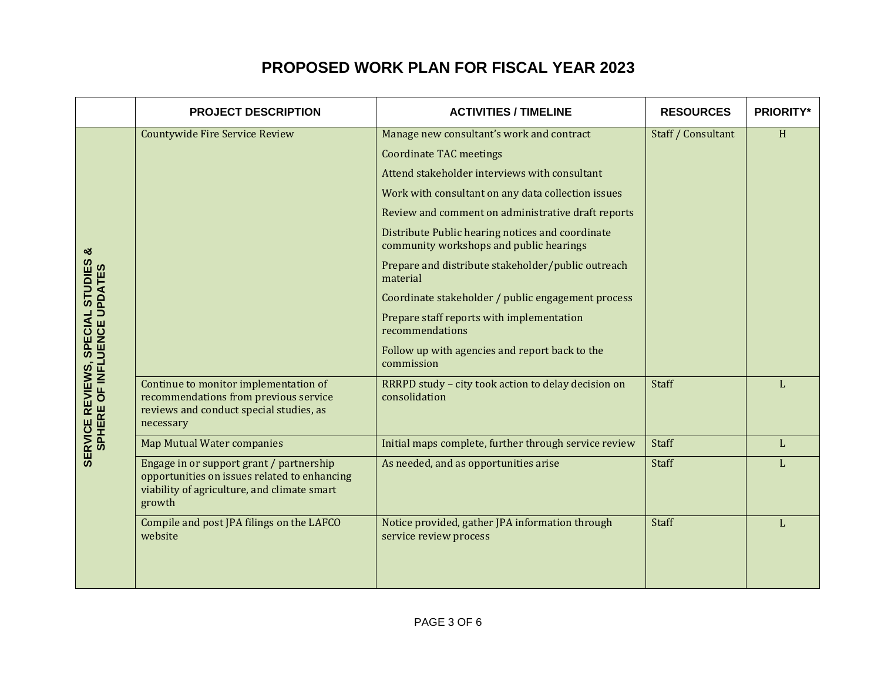|                                                                         | <b>PROJECT DESCRIPTION</b>                                                                                                                        | <b>ACTIVITIES / TIMELINE</b>                                                                | <b>RESOURCES</b>   | <b>PRIORITY*</b> |
|-------------------------------------------------------------------------|---------------------------------------------------------------------------------------------------------------------------------------------------|---------------------------------------------------------------------------------------------|--------------------|------------------|
|                                                                         | <b>Countywide Fire Service Review</b>                                                                                                             | Manage new consultant's work and contract                                                   | Staff / Consultant | H                |
|                                                                         |                                                                                                                                                   | <b>Coordinate TAC meetings</b>                                                              |                    |                  |
|                                                                         |                                                                                                                                                   | Attend stakeholder interviews with consultant                                               |                    |                  |
|                                                                         |                                                                                                                                                   | Work with consultant on any data collection issues                                          |                    |                  |
|                                                                         |                                                                                                                                                   | Review and comment on administrative draft reports                                          |                    |                  |
| ళ                                                                       |                                                                                                                                                   | Distribute Public hearing notices and coordinate<br>community workshops and public hearings |                    |                  |
|                                                                         |                                                                                                                                                   | Prepare and distribute stakeholder/public outreach<br>material                              |                    |                  |
|                                                                         |                                                                                                                                                   | Coordinate stakeholder / public engagement process                                          |                    |                  |
| SPECIAL STUDIES                                                         |                                                                                                                                                   | Prepare staff reports with implementation<br>recommendations                                |                    |                  |
|                                                                         |                                                                                                                                                   | Follow up with agencies and report back to the<br>commission                                |                    |                  |
| <b>SERVICE REVIEWS, SPECIAL STUDIES<br/>SPHERE OF INFLUENCE UPDATES</b> | Continue to monitor implementation of<br>recommendations from previous service<br>reviews and conduct special studies, as<br>necessary            | RRRPD study - city took action to delay decision on<br>consolidation                        | Staff              |                  |
|                                                                         | <b>Map Mutual Water companies</b>                                                                                                                 | Initial maps complete, further through service review                                       | Staff              | L                |
|                                                                         | Engage in or support grant / partnership<br>opportunities on issues related to enhancing<br>viability of agriculture, and climate smart<br>growth | As needed, and as opportunities arise                                                       | Staff              | L                |
|                                                                         | Compile and post JPA filings on the LAFCO<br>website                                                                                              | Notice provided, gather JPA information through<br>service review process                   | Staff              | L                |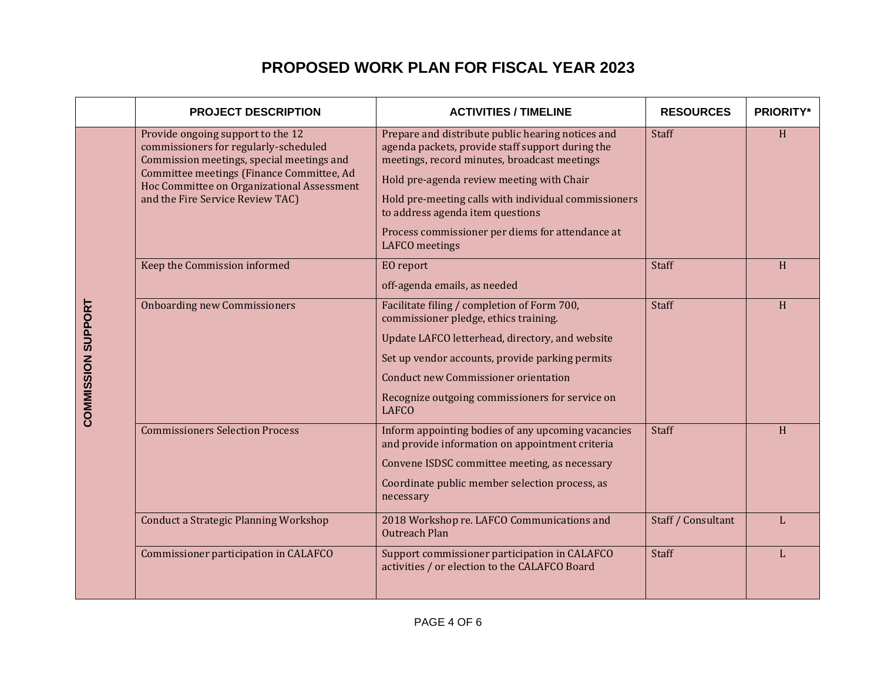|                           | <b>PROJECT DESCRIPTION</b>                                                                                                                                                                                                                             | <b>ACTIVITIES / TIMELINE</b>                                                                                                                                                                                                                                                                                                                                                | <b>RESOURCES</b>   | <b>PRIORITY*</b> |
|---------------------------|--------------------------------------------------------------------------------------------------------------------------------------------------------------------------------------------------------------------------------------------------------|-----------------------------------------------------------------------------------------------------------------------------------------------------------------------------------------------------------------------------------------------------------------------------------------------------------------------------------------------------------------------------|--------------------|------------------|
|                           | Provide ongoing support to the 12<br>commissioners for regularly-scheduled<br>Commission meetings, special meetings and<br>Committee meetings (Finance Committee, Ad<br>Hoc Committee on Organizational Assessment<br>and the Fire Service Review TAC) | Prepare and distribute public hearing notices and<br>agenda packets, provide staff support during the<br>meetings, record minutes, broadcast meetings<br>Hold pre-agenda review meeting with Chair<br>Hold pre-meeting calls with individual commissioners<br>to address agenda item questions<br>Process commissioner per diems for attendance at<br><b>LAFCO</b> meetings | Staff              | H                |
|                           | Keep the Commission informed                                                                                                                                                                                                                           | EO report<br>off-agenda emails, as needed                                                                                                                                                                                                                                                                                                                                   | Staff              | H                |
| <b>COMMISSION SUPPORT</b> | <b>Onboarding new Commissioners</b>                                                                                                                                                                                                                    | Facilitate filing / completion of Form 700,<br>commissioner pledge, ethics training.<br>Update LAFCO letterhead, directory, and website<br>Set up vendor accounts, provide parking permits<br><b>Conduct new Commissioner orientation</b><br>Recognize outgoing commissioners for service on<br><b>LAFCO</b>                                                                | Staff              | H                |
|                           | <b>Commissioners Selection Process</b>                                                                                                                                                                                                                 | Inform appointing bodies of any upcoming vacancies<br>and provide information on appointment criteria<br>Convene ISDSC committee meeting, as necessary<br>Coordinate public member selection process, as<br>necessary                                                                                                                                                       | Staff              | H                |
|                           | Conduct a Strategic Planning Workshop                                                                                                                                                                                                                  | 2018 Workshop re. LAFCO Communications and<br><b>Outreach Plan</b>                                                                                                                                                                                                                                                                                                          | Staff / Consultant | L                |
|                           | Commissioner participation in CALAFCO                                                                                                                                                                                                                  | Support commissioner participation in CALAFCO<br>activities / or election to the CALAFCO Board                                                                                                                                                                                                                                                                              | Staff              | L                |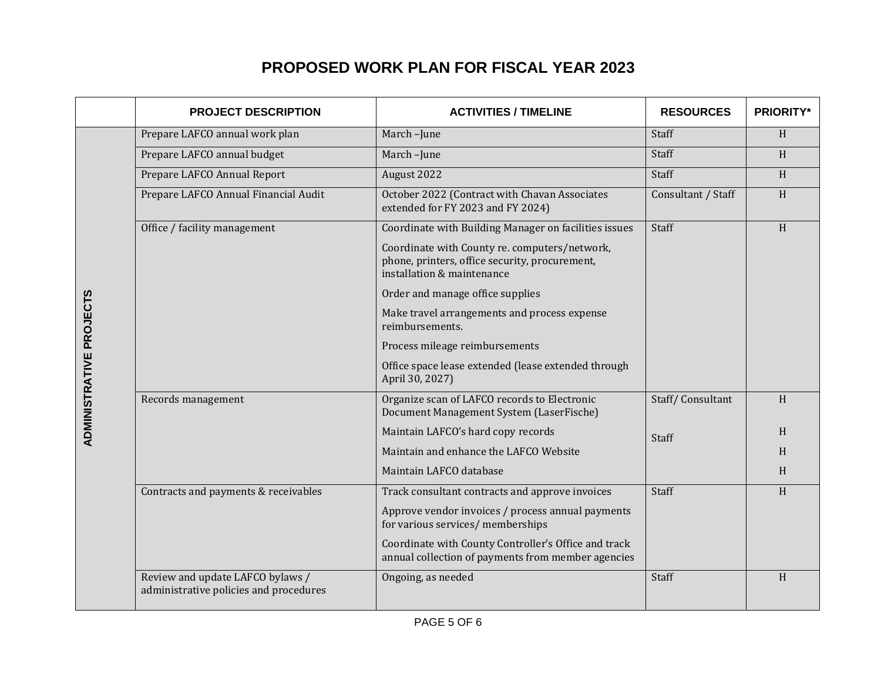|                                | <b>PROJECT DESCRIPTION</b>                                                 | <b>ACTIVITIES / TIMELINE</b>                                                                                                  | <b>RESOURCES</b>   | <b>PRIORITY*</b> |
|--------------------------------|----------------------------------------------------------------------------|-------------------------------------------------------------------------------------------------------------------------------|--------------------|------------------|
|                                | Prepare LAFCO annual work plan                                             | March-June                                                                                                                    | Staff              | H                |
|                                | Prepare LAFCO annual budget                                                | March-June                                                                                                                    | Staff              | H                |
|                                | Prepare LAFCO Annual Report                                                | August 2022                                                                                                                   | Staff              | H                |
|                                | Prepare LAFCO Annual Financial Audit                                       | October 2022 (Contract with Chavan Associates<br>extended for FY 2023 and FY 2024)                                            | Consultant / Staff | H                |
|                                | Office / facility management                                               | Coordinate with Building Manager on facilities issues                                                                         | Staff              | H                |
|                                |                                                                            | Coordinate with County re. computers/network,<br>phone, printers, office security, procurement,<br>installation & maintenance |                    |                  |
|                                |                                                                            | Order and manage office supplies                                                                                              |                    |                  |
|                                |                                                                            | Make travel arrangements and process expense<br>reimbursements.                                                               |                    |                  |
|                                |                                                                            | Process mileage reimbursements                                                                                                |                    |                  |
| <b>ADMINISTRATIVE PROJECTS</b> |                                                                            | Office space lease extended (lease extended through<br>April 30, 2027)                                                        |                    |                  |
|                                | Records management                                                         | Organize scan of LAFCO records to Electronic<br>Document Management System (LaserFische)                                      | Staff/Consultant   | H                |
|                                |                                                                            | Maintain LAFCO's hard copy records                                                                                            | Staff              | H                |
|                                |                                                                            | Maintain and enhance the LAFCO Website                                                                                        |                    | H                |
|                                |                                                                            | Maintain LAFCO database                                                                                                       |                    | H                |
|                                | Contracts and payments & receivables                                       | Track consultant contracts and approve invoices                                                                               | Staff              | H                |
|                                |                                                                            | Approve vendor invoices / process annual payments<br>for various services/ memberships                                        |                    |                  |
|                                |                                                                            | Coordinate with County Controller's Office and track<br>annual collection of payments from member agencies                    |                    |                  |
|                                | Review and update LAFCO bylaws /<br>administrative policies and procedures | Ongoing, as needed                                                                                                            | Staff              | H                |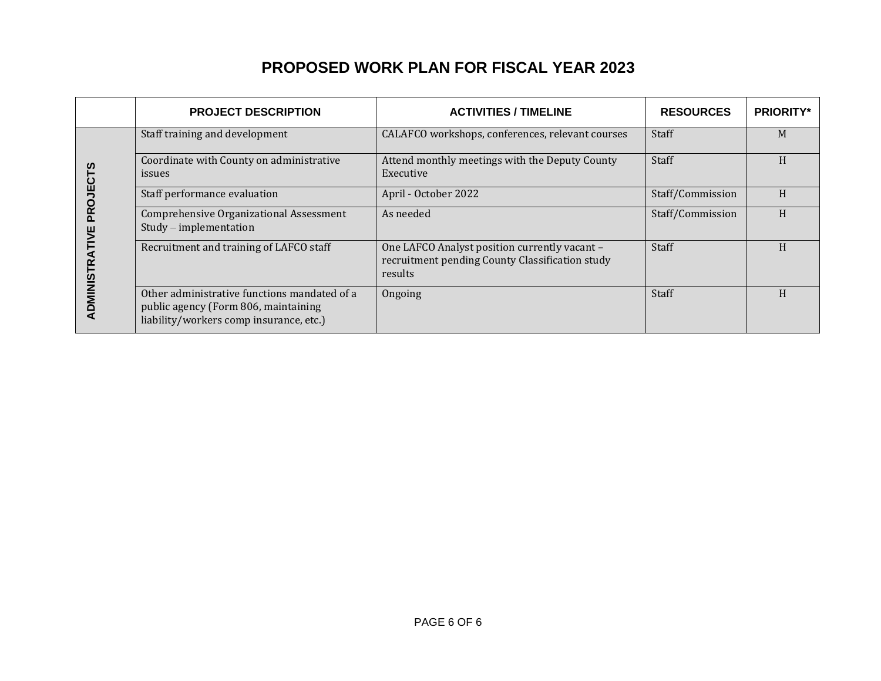|   | <b>PROJECT DESCRIPTION</b>                                                                                                      | <b>ACTIVITIES / TIMELINE</b>                                                                                | <b>RESOURCES</b> | <b>PRIORITY*</b> |
|---|---------------------------------------------------------------------------------------------------------------------------------|-------------------------------------------------------------------------------------------------------------|------------------|------------------|
|   | Staff training and development                                                                                                  | CALAFCO workshops, conferences, relevant courses                                                            | Staff            | M                |
| Ξ | Coordinate with County on administrative<br>issues                                                                              | Attend monthly meetings with the Deputy County<br>Executive                                                 | Staff            | H                |
|   | Staff performance evaluation                                                                                                    | April - October 2022                                                                                        | Staff/Commission | H                |
|   | Comprehensive Organizational Assessment<br>$Study - implementation$                                                             | As needed                                                                                                   | Staff/Commission | H                |
|   | Recruitment and training of LAFCO staff                                                                                         | One LAFCO Analyst position currently vacant -<br>recruitment pending County Classification study<br>results | <b>Staff</b>     | H                |
|   | Other administrative functions mandated of a<br>public agency (Form 806, maintaining<br>liability/workers comp insurance, etc.) | Ongoing                                                                                                     | Staff            | H                |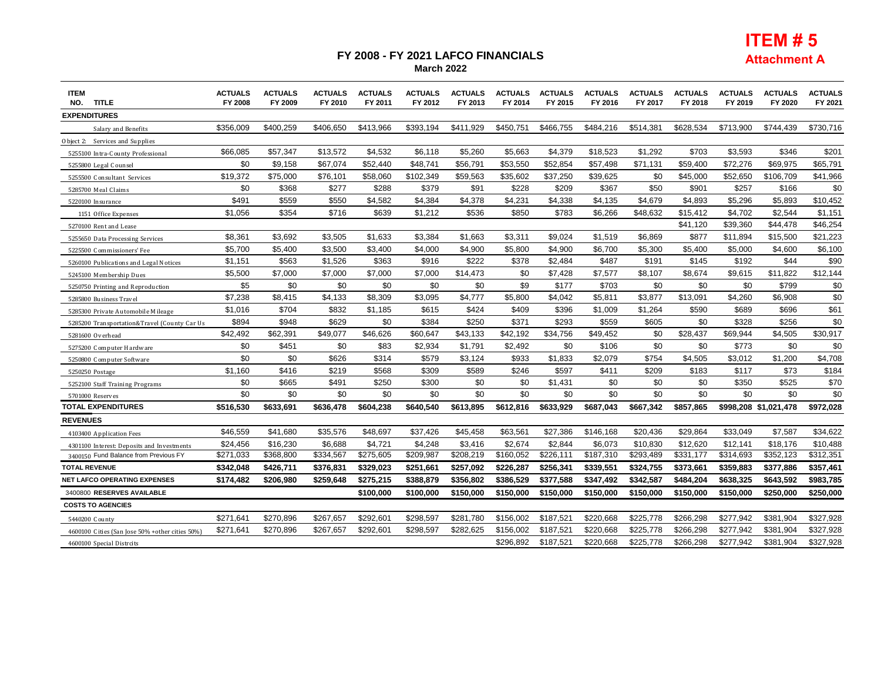#### **FY 2008 - FY 2021 LAFCO FINANCIALS March 2022**



| <b>ITEM</b><br><b>TITLE</b><br>NO.               | <b>ACTUALS</b><br>FY 2008 | <b>ACTUALS</b><br>FY 2009 | <b>ACTUALS</b><br>FY 2010 | <b>ACTUALS</b><br>FY 2011 | <b>ACTUALS</b><br>FY 2012 | <b>ACTUALS</b><br>FY 2013 | <b>ACTUALS</b><br>FY 2014 | <b>ACTUALS</b><br>FY 2015 | <b>ACTUALS</b><br>FY 2016 | <b>ACTUALS</b><br>FY 2017 | <b>ACTUALS</b><br>FY 2018 | <b>ACTUALS</b><br>FY 2019 | <b>ACTUALS</b><br>FY 2020 | <b>ACTUALS</b><br>FY 2021 |
|--------------------------------------------------|---------------------------|---------------------------|---------------------------|---------------------------|---------------------------|---------------------------|---------------------------|---------------------------|---------------------------|---------------------------|---------------------------|---------------------------|---------------------------|---------------------------|
| <b>EXPENDITURES</b>                              |                           |                           |                           |                           |                           |                           |                           |                           |                           |                           |                           |                           |                           |                           |
| Salary and Benefits                              | \$356,009                 | \$400,259                 | \$406,650                 | \$413,966                 | \$393,194                 | \$411,929                 | \$450,751                 | \$466,755                 | \$484,216                 | \$514,381                 | \$628,534                 | \$713,900                 | \$744,439                 | \$730,716                 |
| O bject 2: Services and Supplies                 |                           |                           |                           |                           |                           |                           |                           |                           |                           |                           |                           |                           |                           |                           |
| 5255100 Intra-County Professional                | \$66,085                  | \$57,347                  | \$13,572                  | \$4,532                   | \$6,118                   | \$5,260                   | \$5,663                   | \$4,379                   | \$18,523                  | \$1,292                   | \$703                     | \$3,593                   | \$346                     | \$201                     |
| 5255800 Legal Counsel                            | \$0                       | \$9,158                   | \$67,074                  | \$52,440                  | \$48,741                  | \$56,791                  | \$53,550                  | \$52,854                  | \$57,498                  | \$71,131                  | \$59,400                  | \$72,276                  | \$69,975                  | \$65,791                  |
| 5255500 Consultant Services                      | \$19,372                  | \$75,000                  | \$76,101                  | \$58,060                  | \$102,349                 | \$59,563                  | \$35,602                  | \$37,250                  | \$39,625                  | \$0                       | \$45,000                  | \$52,650                  | \$106,709                 | \$41,966                  |
| 5285700 Meal Claims                              | \$0                       | \$368                     | \$277                     | \$288                     | \$379                     | \$91                      | \$228                     | \$209                     | \$367                     | \$50                      | \$901                     | \$257                     | \$166                     | \$0                       |
| 5220100 Insurance                                | \$491                     | \$559                     | \$550                     | \$4,582                   | \$4,384                   | \$4,378                   | \$4,231                   | \$4,338                   | \$4,135                   | \$4,679                   | \$4,893                   | \$5,296                   | \$5,893                   | \$10,452                  |
| 1151 Office Expenses                             | \$1,056                   | \$354                     | \$716                     | \$639                     | \$1,212                   | \$536                     | \$850                     | \$783                     | \$6,266                   | \$48,632                  | \$15,412                  | \$4,702                   | \$2,544                   | \$1,151                   |
| 5270100 Rent and Lease                           |                           |                           |                           |                           |                           |                           |                           |                           |                           |                           | \$41,120                  | \$39,360                  | \$44.478                  | \$46.254                  |
| 5255650 Data Processing Services                 | \$8,361                   | \$3,692                   | \$3,505                   | \$1,633                   | \$3,384                   | \$1,663                   | \$3,311                   | \$9,024                   | \$1,519                   | \$6,869                   | \$877                     | \$11,894                  | \$15,500                  | \$21,223                  |
| 5225500 Commissioners' Fee                       | \$5,700                   | \$5,400                   | \$3,500                   | \$3,400                   | \$4,000                   | \$4,900                   | \$5,800                   | \$4,900                   | \$6,700                   | \$5,300                   | \$5,400                   | \$5,000                   | \$4,600                   | \$6,100                   |
| 5260100 Publications and Legal Notices           | \$1,151                   | \$563                     | \$1,526                   | \$363                     | \$916                     | \$222                     | \$378                     | \$2,484                   | \$487                     | \$191                     | \$145                     | \$192                     | \$44                      | \$90                      |
| 5245100 Membership Dues                          | \$5,500                   | \$7,000                   | \$7,000                   | \$7,000                   | \$7,000                   | \$14,473                  | \$0                       | \$7,428                   | \$7,577                   | \$8,107                   | \$8,674                   | \$9,615                   | \$11,822                  | \$12,144                  |
| 5250750 Printing and Reproduction                | \$5                       | \$0                       | \$0                       | \$0                       | \$0                       | \$0                       | \$9                       | \$177                     | \$703                     | \$0                       | \$0                       | \$0                       | \$799                     | \$0                       |
| 5285800 Business Travel                          | \$7,238                   | \$8,415                   | \$4,133                   | \$8,309                   | \$3,095                   | \$4,777                   | \$5,800                   | \$4,042                   | \$5,811                   | \$3,877                   | \$13,091                  | \$4,260                   | \$6,908                   | \$0                       |
| 5285300 Private Automobile Mileage               | \$1,016                   | \$704                     | \$832                     | \$1,185                   | \$615                     | \$424                     | \$409                     | \$396                     | \$1,009                   | \$1,264                   | \$590                     | \$689                     | \$696                     | \$61                      |
| 5285200 Transportation&Travel (County Car Us     | \$894                     | \$948                     | \$629                     | \$0                       | \$384                     | \$250                     | \$371                     | \$293                     | \$559                     | \$605                     | \$0                       | \$328                     | \$256                     | \$0                       |
| 5281600 Overhead                                 | \$42,492                  | \$62,391                  | \$49,077                  | \$46,626                  | \$60,647                  | \$43,133                  | \$42,192                  | \$34,756                  | \$49,452                  | \$0                       | \$28,437                  | \$69,944                  | \$4,505                   | \$30,917                  |
| 5275200 Computer Hardware                        | \$0                       | \$451                     | \$0                       | \$83                      | \$2,934                   | \$1,791                   | \$2,492                   | \$0                       | \$106                     | \$0                       | \$0                       | \$773                     | \$0                       | \$0                       |
| 5250800 Computer Software                        | \$0                       | \$0                       | \$626                     | \$314                     | \$579                     | \$3,124                   | \$933                     | \$1,833                   | \$2,079                   | \$754                     | \$4,505                   | \$3,012                   | \$1,200                   | \$4,708                   |
| 5250250 Postage                                  | \$1,160                   | \$416                     | \$219                     | \$568                     | \$309                     | \$589                     | \$246                     | \$597                     | \$411                     | \$209                     | \$183                     | \$117                     | \$73                      | \$184                     |
| 5252100 Staff Training Programs                  | \$0                       | \$665                     | \$491                     | \$250                     | \$300                     | \$0                       | \$0                       | \$1,431                   | \$0                       | \$0                       | \$0                       | \$350                     | \$525                     | \$70                      |
| 5701000 Reserves                                 | \$0                       | \$0                       | \$0                       | \$0                       | \$0                       | \$0                       | \$0                       | \$0                       | \$0                       | \$0                       | \$0                       | \$0                       | \$0                       | \$0                       |
| <b>TOTAL EXPENDITURES</b>                        | \$516,530                 | \$633,691                 | \$636,478                 | \$604,238                 | \$640.540                 | \$613,895                 | \$612,816                 | \$633,929                 | \$687.043                 | \$667.342                 | \$857,865                 |                           | \$998,208 \$1,021,478     | \$972.028                 |
| <b>REVENUES</b>                                  |                           |                           |                           |                           |                           |                           |                           |                           |                           |                           |                           |                           |                           |                           |
| 4103400 Application Fees                         | \$46,559                  | \$41,680                  | \$35,576                  | \$48,697                  | \$37,426                  | \$45,458                  | \$63,561                  | \$27,386                  | \$146,168                 | \$20,436                  | \$29,864                  | \$33,049                  | \$7,587                   | \$34,622                  |
| 4301100 Interest: Deposits and Investments       | \$24,456                  | \$16,230                  | \$6,688                   | \$4,721                   | \$4,248                   | \$3,416                   | \$2,674                   | \$2,844                   | \$6,073                   | \$10,830                  | \$12,620                  | \$12,141                  | \$18,176                  | \$10,488                  |
| 3400150 Fund Balance from Previous FY            | \$271,033                 | \$368,800                 | \$334,567                 | \$275,605                 | \$209,987                 | \$208,219                 | \$160,052                 | \$226,111                 | \$187,310                 | \$293,489                 | \$331,177                 | \$314,693                 | \$352,123                 | \$312,351                 |
| <b>TOTAL REVENUE</b>                             | \$342,048                 | \$426,711                 | \$376,831                 | \$329,023                 | \$251,661                 | \$257,092                 | \$226,287                 | \$256,341                 | \$339,551                 | \$324,755                 | \$373,661                 | \$359,883                 | \$377,886                 | \$357,461                 |
| <b>NET LAFCO OPERATING EXPENSES</b>              | \$174,482                 | \$206,980                 | \$259.648                 | \$275,215                 | \$388,879                 | \$356,802                 | \$386,529                 | \$377,588                 | \$347,492                 | \$342,587                 | \$484,204                 | \$638,325                 | \$643,592                 | \$983,785                 |
| 3400800 RESERVES AVAILABLE                       |                           |                           |                           | \$100,000                 | \$100,000                 | \$150,000                 | \$150,000                 | \$150,000                 | \$150,000                 | \$150,000                 | \$150,000                 | \$150,000                 | \$250,000                 | \$250,000                 |
| <b>COSTS TO AGENCIES</b>                         |                           |                           |                           |                           |                           |                           |                           |                           |                           |                           |                           |                           |                           |                           |
| 5440200 County                                   | \$271,641                 | \$270,896                 | \$267,657                 | \$292,601                 | \$298,597                 | \$281,780                 | \$156,002                 | \$187,521                 | \$220,668                 | \$225,778                 | \$266,298                 | \$277,942                 | \$381,904                 | \$327,928                 |
| 4600100 Cities (San Jose 50% + other cities 50%) | \$271.641                 | \$270.896                 | \$267.657                 | \$292.601                 | \$298,597                 | \$282.625                 | \$156.002                 | \$187.521                 | \$220.668                 | \$225.778                 | \$266.298                 | \$277.942                 | \$381.904                 | \$327.928                 |
| 4600100 Special Distrcits                        |                           |                           |                           |                           |                           |                           | \$296,892                 | \$187,521                 | \$220,668                 | \$225,778                 | \$266,298                 | \$277.942                 | \$381.904                 | \$327,928                 |